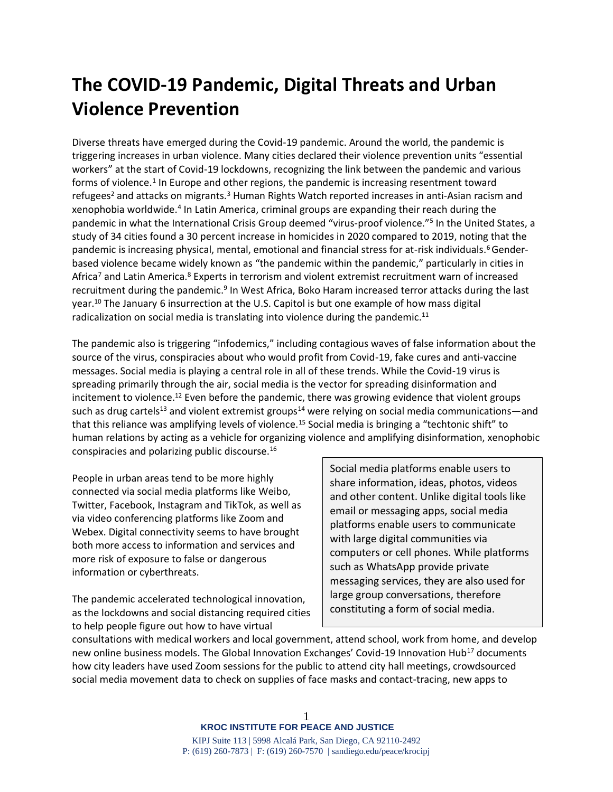# **The COVID-19 Pandemic, Digital Threats and Urban Violence Prevention**

Diverse threats have emerged during the Covid-19 pandemic. Around the world, the pandemic is triggering increases in urban violence. Many cities declared their violence prevention units "essential workers" at the start of Covid-19 lockdowns, recognizing the link between the pandemic and various forms of violence.<sup>1</sup> In Europe and other regions, the pandemic is increasing resentment toward refugees<sup>2</sup> and attacks on migrants.<sup>3</sup> Human Rights Watch reported increases in anti-Asian racism and xenophobia worldwide.<sup>4</sup> In Latin America, criminal groups are expanding their reach during the pandemic in what the International Crisis Group deemed "virus-proof violence."<sup>5</sup> In the United States, a study of 34 cities found a 30 percent increase in homicides in 2020 compared to 2019, noting that the pandemic is increasing physical, mental, emotional and financial stress for at-risk individuals.<sup>6</sup>Genderbased violence became widely known as "the pandemic within the pandemic," particularly in cities in Africa<sup>7</sup> and Latin America.<sup>8</sup> Experts in terrorism and violent extremist recruitment warn of increased recruitment during the pandemic.<sup>9</sup> In West Africa, Boko Haram increased terror attacks during the last year. <sup>10</sup> The January 6 insurrection at the U.S. Capitol is but one example of how mass digital radicalization on social media is translating into violence during the pandemic.<sup>11</sup>

The pandemic also is triggering "infodemics," including contagious waves of false information about the source of the virus, conspiracies about who would profit from Covid-19, fake cures and anti-vaccine messages. Social media is playing a central role in all of these trends. While the Covid-19 virus is spreading primarily through the air, social media is the vector for spreading disinformation and incitement to violence.<sup>12</sup> Even before the pandemic, there was growing evidence that violent groups such as drug cartels<sup>13</sup> and violent extremist groups<sup>14</sup> were relying on social media communications—and that this reliance was amplifying levels of violence.<sup>15</sup> Social media is bringing a "techtonic shift" to human relations by acting as a vehicle for organizing violence and amplifying disinformation, xenophobic conspiracies and polarizing public discourse. 16

People in urban areas tend to be more highly connected via social media platforms like Weibo, Twitter, Facebook, Instagram and TikTok, as well as via video conferencing platforms like Zoom and Webex. Digital connectivity seems to have brought both more access to information and services and more risk of exposure to false or dangerous information or cyberthreats.

The pandemic accelerated technological innovation, as the lockdowns and social distancing required cities to help people figure out how to have virtual

Social media platforms enable users to share information, ideas, photos, videos and other content. Unlike digital tools like email or messaging apps, social media platforms enable users to communicate with large digital communities via computers or cell phones. While platforms such as WhatsApp provide private messaging services, they are also used for large group conversations, therefore constituting a form of social media.

consultations with medical workers and local government, attend school, work from home, and develop new online business models. The Global Innovation Exchanges' Covid-19 Innovation Hub<sup>17</sup> documents how city leaders have used Zoom sessions for the public to attend city hall meetings, crowdsourced social media movement data to check on supplies of face masks and contact-tracing, new apps to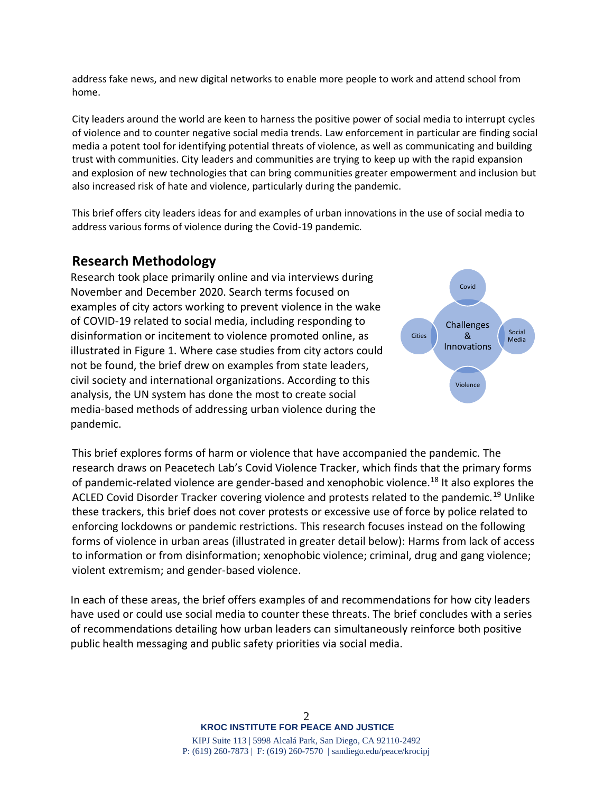address fake news, and new digital networks to enable more people to work and attend school from home.

City leaders around the world are keen to harness the positive power of social media to interrupt cycles of violence and to counter negative social media trends. Law enforcement in particular are finding social media a potent tool for identifying potential threats of violence, as well as communicating and building trust with communities. City leaders and communities are trying to keep up with the rapid expansion and explosion of new technologies that can bring communities greater empowerment and inclusion but also increased risk of hate and violence, particularly during the pandemic.

This brief offers city leaders ideas for and examples of urban innovations in the use of social media to address various forms of violence during the Covid-19 pandemic.

# **Research Methodology**

Research took place primarily online and via interviews during November and December 2020. Search terms focused on examples of city actors working to prevent violence in the wake of COVID-19 related to social media, including responding to disinformation or incitement to violence promoted online, as illustrated in Figure 1. Where case studies from city actors could not be found, the brief drew on examples from state leaders, civil society and international organizations. According to this analysis, the UN system has done the most to create social media-based methods of addressing urban violence during the pandemic.



This brief explores forms of harm or violence that have accompanied the pandemic. The research draws on Peacetech Lab's Covid Violence Tracker, which finds that the primary forms of pandemic-related violence are gender-based and xenophobic violence.<sup>18</sup> It also explores the ACLED Covid Disorder Tracker covering violence and protests related to the pandemic.<sup>19</sup> Unlike these trackers, this brief does not cover protests or excessive use of force by police related to enforcing lockdowns or pandemic restrictions. This research focuses instead on the following forms of violence in urban areas (illustrated in greater detail below): Harms from lack of access to information or from disinformation; xenophobic violence; criminal, drug and gang violence; violent extremism; and gender-based violence.

In each of these areas, the brief offers examples of and recommendations for how city leaders have used or could use social media to counter these threats. The brief concludes with a series of recommendations detailing how urban leaders can simultaneously reinforce both positive public health messaging and public safety priorities via social media.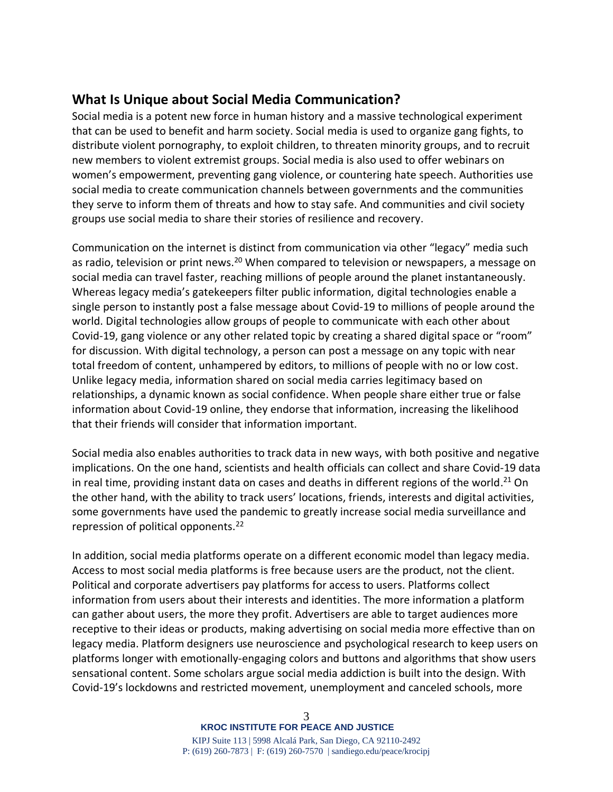# **What Is Unique about Social Media Communication?**

Social media is a potent new force in human history and a massive technological experiment that can be used to benefit and harm society. Social media is used to organize gang fights, to distribute violent pornography, to exploit children, to threaten minority groups, and to recruit new members to violent extremist groups. Social media is also used to offer webinars on women's empowerment, preventing gang violence, or countering hate speech. Authorities use social media to create communication channels between governments and the communities they serve to inform them of threats and how to stay safe. And communities and civil society groups use social media to share their stories of resilience and recovery.

Communication on the internet is distinct from communication via other "legacy" media such as radio, television or print news.<sup>20</sup> When compared to television or newspapers, a message on social media can travel faster, reaching millions of people around the planet instantaneously. Whereas legacy media's gatekeepers filter public information, digital technologies enable a single person to instantly post a false message about Covid-19 to millions of people around the world. Digital technologies allow groups of people to communicate with each other about Covid-19, gang violence or any other related topic by creating a shared digital space or "room" for discussion. With digital technology, a person can post a message on any topic with near total freedom of content, unhampered by editors, to millions of people with no or low cost. Unlike legacy media, information shared on social media carries legitimacy based on relationships, a dynamic known as social confidence. When people share either true or false information about Covid-19 online, they endorse that information, increasing the likelihood that their friends will consider that information important.

Social media also enables authorities to track data in new ways, with both positive and negative implications. On the one hand, scientists and health officials can collect and share Covid-19 data in real time, providing instant data on cases and deaths in different regions of the world.<sup>21</sup> On the other hand, with the ability to track users' locations, friends, interests and digital activities, some governments have used the pandemic to greatly increase social media surveillance and repression of political opponents.<sup>22</sup>

In addition, social media platforms operate on a different economic model than legacy media. Access to most social media platforms is free because users are the product, not the client. Political and corporate advertisers pay platforms for access to users. Platforms collect information from users about their interests and identities. The more information a platform can gather about users, the more they profit. Advertisers are able to target audiences more receptive to their ideas or products, making advertising on social media more effective than on legacy media. Platform designers use neuroscience and psychological research to keep users on platforms longer with emotionally-engaging colors and buttons and algorithms that show users sensational content. Some scholars argue social media addiction is built into the design. With Covid-19's lockdowns and restricted movement, unemployment and canceled schools, more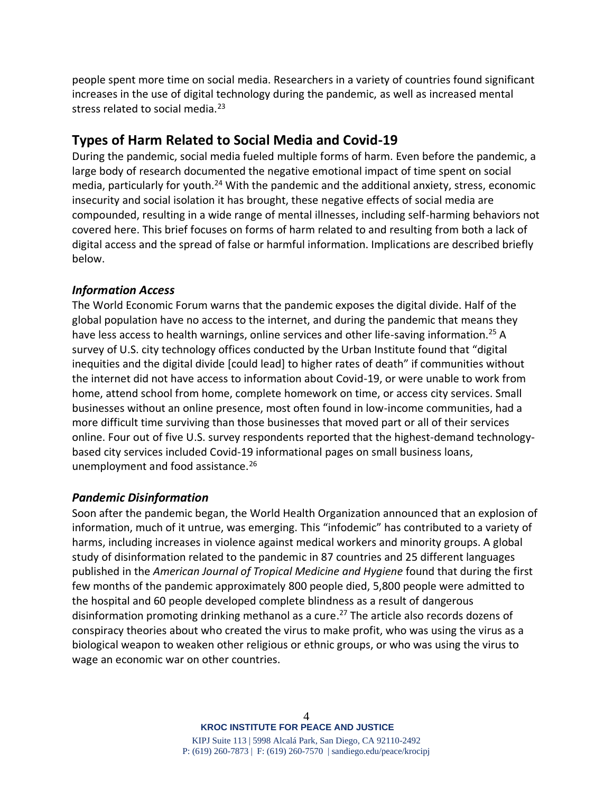people spent more time on social media. Researchers in a variety of countries found significant increases in the use of digital technology during the pandemic, as well as increased mental stress related to social media. $^{23}$ 

# **Types of Harm Related to Social Media and Covid-19**

During the pandemic, social media fueled multiple forms of harm. Even before the pandemic, a large body of research documented the negative emotional impact of time spent on social media, particularly for youth.<sup>24</sup> With the pandemic and the additional anxiety, stress, economic insecurity and social isolation it has brought, these negative effects of social media are compounded, resulting in a wide range of mental illnesses, including self-harming behaviors not covered here. This brief focuses on forms of harm related to and resulting from both a lack of digital access and the spread of false or harmful information. Implications are described briefly below.

### *Information Access*

The World Economic Forum warns that the pandemic exposes the digital divide. Half of the global population have no access to the internet, and during the pandemic that means they have less access to health warnings, online services and other life-saving information.<sup>25</sup> A survey of U.S. city technology offices conducted by the Urban Institute found that "digital inequities and the digital divide [could lead] to higher rates of death" if communities without the internet did not have access to information about Covid-19, or were unable to work from home, attend school from home, complete homework on time, or access city services. Small businesses without an online presence, most often found in low-income communities, had a more difficult time surviving than those businesses that moved part or all of their services online. Four out of five U.S. survey respondents reported that the highest-demand technologybased city services included Covid-19 informational pages on small business loans, unemployment and food assistance.<sup>26</sup>

#### *Pandemic Disinformation*

Soon after the pandemic began, the World Health Organization announced that an explosion of information, much of it untrue, was emerging. This "infodemic" has contributed to a variety of harms, including increases in violence against medical workers and minority groups. A global study of disinformation related to the pandemic in 87 countries and 25 different languages published in the *[American Journal of Tropical Medicine and Hygiene](http://www.ajtmh.org/content/journals/10.4269/ajtmh.20-0812;jsessionid=-ETrfB53Hw7IIHnlp2BbSu4i.ip-10-241-1-122)* found that during the first few months of the pandemic approximately 800 people died, 5,800 people were admitted to the hospital and 60 people developed complete blindness as a result of dangerous disinformation promoting drinking methanol as a cure. <sup>27</sup> The article also records dozens of conspiracy theories about who created the virus to make profit, who was using the virus as a biological weapon to weaken other religious or ethnic groups, or who was using the virus to wage an economic war on other countries.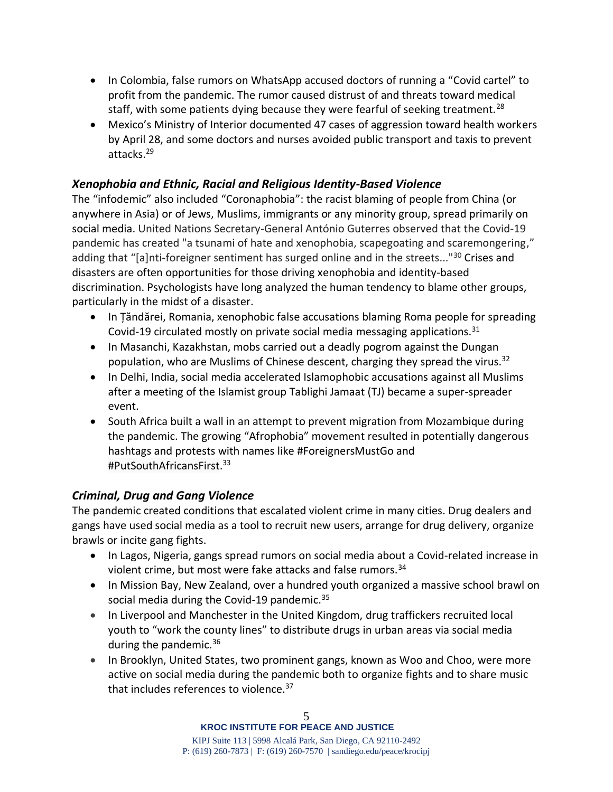- In Colombia, false rumors on WhatsApp accused doctors of running a "Covid cartel" to profit from the pandemic. The rumor caused distrust of and threats toward medical staff, with some patients dying because they were fearful of seeking treatment.<sup>28</sup>
- Mexico's Ministry of Interior documented 47 cases of aggression toward health workers by April 28, and some doctors and nurses avoided public transport and taxis to prevent attacks.<sup>29</sup>

# *Xenophobia and Ethnic, Racial and Religious Identity-Based Violence*

The "infodemic" also included "Coronaphobia": the racist blaming of people from China (or anywhere in Asia) or of Jews, Muslims, immigrants or any minority group, spread primarily on social media. United Nations Secretary-General António Guterres observed that the Covid-19 pandemic has created "a tsunami of hate and xenophobia, scapegoating and scaremongering," adding that "[a]nti-foreigner sentiment has surged online and in the streets..."<sup>30</sup> Crises and disasters are often opportunities for those driving xenophobia and identity-based discrimination. Psychologists have long analyzed the human tendency to blame other groups, particularly in the midst of a disaster.

- In Țăndărei, Romania, xenophobic false accusations blaming Roma people for spreading Covid-19 circulated mostly on private social media messaging applications.<sup>31</sup>
- In Masanchi, Kazakhstan, mobs carried out a deadly pogrom against the Dungan population, who are Muslims of Chinese descent, charging they spread the virus.<sup>32</sup>
- In Delhi, India, social media accelerated Islamophobic accusations against all Muslims after a meeting of the Islamist group Tablighi Jamaat (TJ) became a super-spreader event.
- South Africa built a wall in an attempt to prevent migration from Mozambique during the pandemic. The growing "Afrophobia" movement resulted in potentially dangerous hashtags and protests with names like #ForeignersMustGo and #PutSouthAfricansFirst. 33

# *Criminal, Drug and Gang Violence*

The pandemic created conditions that escalated violent crime in many cities. Drug dealers and gangs have used social media as a tool to recruit new users, arrange for drug delivery, organize brawls or incite gang fights.

- In Lagos, Nigeria, gangs spread rumors on social media about a Covid-related increase in violent crime, but most were fake attacks and false rumors.<sup>34</sup>
- In Mission Bay, New Zealand, over a hundred youth organized a massive school brawl on social media during the Covid-19 pandemic. $35$
- In Liverpool and Manchester in the United Kingdom, drug traffickers recruited local youth to "work the county lines" to distribute drugs in urban areas via social media during the pandemic.<sup>36</sup>
- In Brooklyn, United States, two prominent gangs, known as Woo and Choo, were more active on social media during the pandemic both to organize fights and to share music that includes references to violence.<sup>37</sup>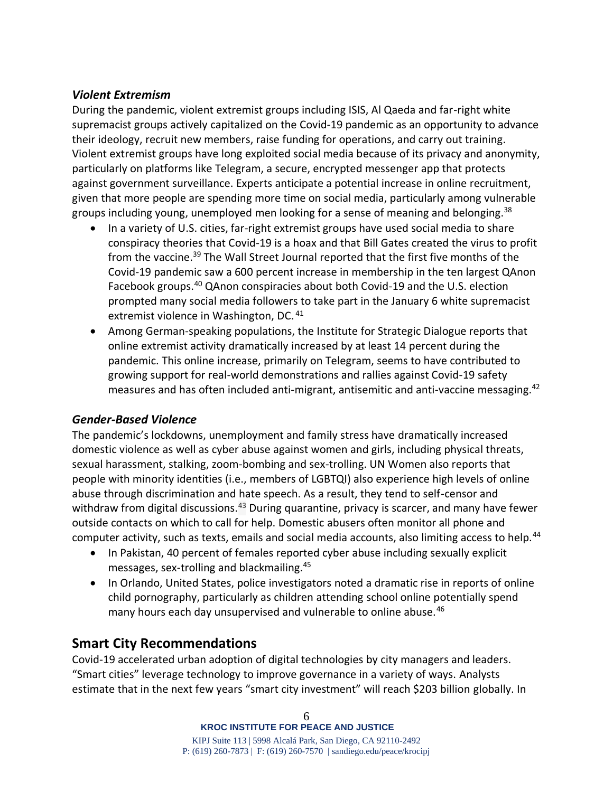#### *Violent Extremism*

During the pandemic, violent extremist groups including ISIS, Al Qaeda and far-right white supremacist groups actively capitalized on the Covid-19 pandemic as an opportunity to advance their ideology, recruit new members, raise funding for operations, and carry out training. Violent extremist groups have long exploited social media because of its privacy and anonymity, particularly on platforms like Telegram, a secure, encrypted messenger app that protects against government surveillance. Experts anticipate a potential increase in online recruitment, given that more people are spending more time on social media, particularly among vulnerable groups including young, unemployed men looking for a sense of meaning and belonging.<sup>38</sup>

- In a variety of U.S. cities, far-right extremist groups have used social media to share conspiracy theories that Covid-19 is a hoax and that Bill Gates created the virus to profit from the vaccine.<sup>39</sup> The Wall Street Journal reported that the first five months of the Covid-19 pandemic saw a 600 percent increase in membership in the ten largest QAnon Facebook groups.<sup>40</sup> QAnon conspiracies about both Covid-19 and the U.S. election prompted many social media followers to take part in the January 6 white supremacist extremist violence in Washington, DC.<sup>41</sup>
- Among German-speaking populations, the Institute for Strategic Dialogue reports that online extremist activity dramatically increased by at least 14 percent during the pandemic. This online increase, primarily on Telegram, seems to have contributed to growing support for real-world demonstrations and rallies against Covid-19 safety measures and has often included anti-migrant, antisemitic and anti-vaccine messaging.<sup>42</sup>

# *Gender-Based Violence*

The pandemic's lockdowns, unemployment and family stress have dramatically increased domestic violence as well as cyber abuse against women and girls, including physical threats, sexual harassment, stalking, zoom-bombing and sex-trolling. UN Women also reports that people with minority identities (i.e., members of LGBTQI) also experience high levels of online abuse through discrimination and hate speech. As a result, they tend to self-censor and withdraw from digital discussions.<sup>43</sup> During quarantine, privacy is scarcer, and many have fewer outside contacts on which to call for help. Domestic abusers often monitor all phone and computer activity, such as texts, emails and social media accounts, also limiting access to help.<sup>44</sup>

- In Pakistan, 40 percent of females reported cyber abuse including sexually explicit messages, sex-trolling and blackmailing.<sup>45</sup>
- In Orlando, United States, police investigators noted a dramatic rise in reports of online child pornography, particularly as children attending school online potentially spend many hours each day unsupervised and vulnerable to online abuse.<sup>46</sup>

# **Smart City Recommendations**

Covid-19 accelerated urban adoption of digital technologies by city managers and leaders. "Smart cities" leverage technology to improve governance in a variety of ways. Analysts estimate that in the next few years "smart city investment" will reach \$203 billion globally. In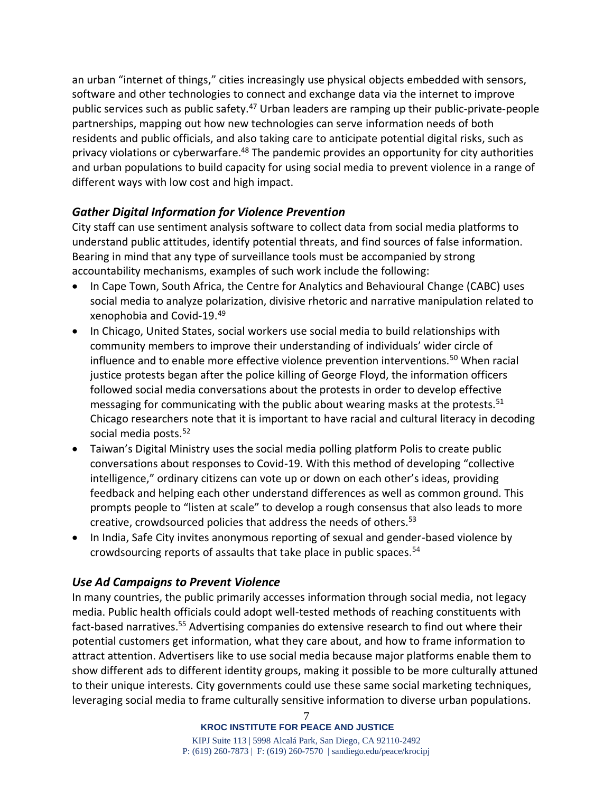an urban "internet of things," cities increasingly use physical objects embedded with sensors, software and other technologies to connect and exchange data via the internet to improve public services such as public safety.<sup>47</sup> Urban leaders are ramping up their public-private-people partnerships, mapping out how new technologies can serve information needs of both residents and public officials, and also taking care to anticipate potential digital risks, such as privacy violations or cyberwarfare.<sup>48</sup> The pandemic provides an opportunity for city authorities and urban populations to build capacity for using social media to prevent violence in a range of different ways with low cost and high impact.

# *Gather Digital Information for Violence Prevention*

City staff can use sentiment analysis software to collect data from social media platforms to understand public attitudes, identify potential threats, and find sources of false information. Bearing in mind that any type of surveillance tools must be accompanied by strong accountability mechanisms, examples of such work include the following:

- In Cape Town, South Africa, the Centre for Analytics and Behavioural Change (CABC) uses social media to analyze polarization, divisive rhetoric and narrative manipulation related to xenophobia and Covid-19.<sup>49</sup>
- In Chicago, United States, social workers use social media to build relationships with community members to improve their understanding of individuals' wider circle of influence and to enable more effective violence prevention interventions.<sup>50</sup> When racial justice protests began after the police killing of George Floyd, the information officers followed social media conversations about the protests in order to develop effective messaging for communicating with the public about wearing masks at the protests.<sup>51</sup> Chicago researchers note that it is important to have racial and cultural literacy in decoding social media posts. 52
- Taiwan's Digital Ministry uses the social media polling platform Polis to create public conversations about responses to Covid-19. With this method of developing "collective intelligence," ordinary citizens can vote up or down on each other's ideas, providing feedback and helping each other understand differences as well as common ground. This prompts people to "listen at scale" to develop a rough consensus that also leads to more creative, crowdsourced policies that address the needs of others.<sup>53</sup>
- In India, Safe City invites anonymous reporting of sexual and gender-based violence by crowdsourcing reports of assaults that take place in public spaces. 54

#### *Use Ad Campaigns to Prevent Violence*

In many countries, the public primarily accesses information through social media, not legacy media. Public health officials could adopt well-tested methods of reaching constituents with fact-based narratives.<sup>55</sup> Advertising companies do extensive research to find out where their potential customers get information, what they care about, and how to frame information to attract attention. Advertisers like to use social media because major platforms enable them to show different ads to different identity groups, making it possible to be more culturally attuned to their unique interests. City governments could use these same social marketing techniques, leveraging social media to frame culturally sensitive information to diverse urban populations.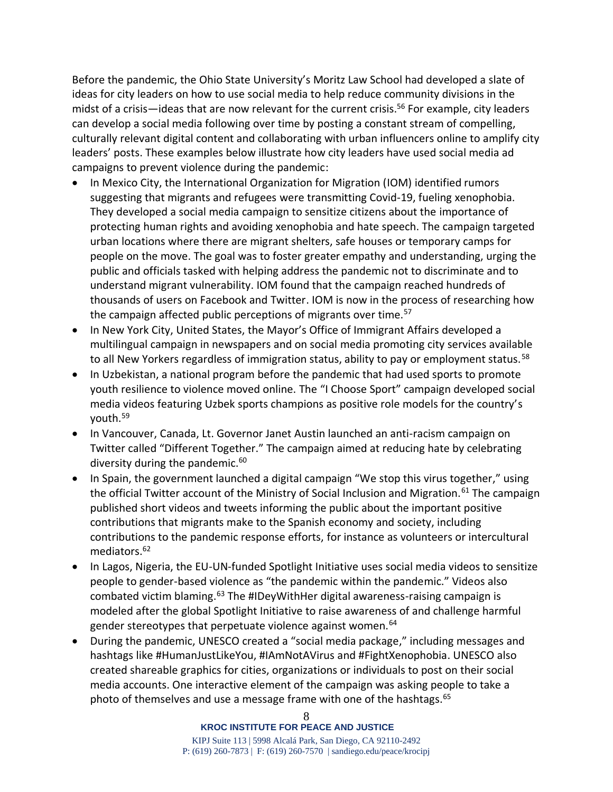Before the pandemic, the Ohio State University's Moritz Law School had developed a slate of ideas for city leaders on how to use social media to help reduce community divisions in the midst of a crisis—ideas that are now relevant for the current crisis.<sup>56</sup> For example, city leaders can develop a social media following over time by posting a constant stream of compelling, culturally relevant digital content and collaborating with urban influencers online to amplify city leaders' posts. These examples below illustrate how city leaders have used social media ad campaigns to prevent violence during the pandemic:

- In Mexico City, the International Organization for Migration (IOM) identified rumors suggesting that migrants and refugees were transmitting Covid-19, fueling xenophobia. They developed a social media campaign to sensitize citizens about the importance of protecting human rights and avoiding xenophobia and hate speech. The campaign targeted urban locations where there are migrant shelters, safe houses or temporary camps for people on the move. The goal was to foster greater empathy and understanding, urging the public and officials tasked with helping address the pandemic not to discriminate and to understand migrant vulnerability. IOM found that the campaign reached hundreds of thousands of users on Facebook and Twitter. IOM is now in the process of researching how the campaign affected public perceptions of migrants over time.<sup>57</sup>
- In New York City, United States, the Mayor's Office of Immigrant Affairs developed a multilingual campaign in newspapers and on social media promoting city services available to all New Yorkers regardless of immigration status, ability to pay or employment status.<sup>58</sup>
- In Uzbekistan, a national program before the pandemic that had used sports to promote youth resilience to violence moved online. The "I Choose Sport" campaign developed social media videos featuring Uzbek sports champions as positive role models for the country's youth.<sup>59</sup>
- In Vancouver, Canada, Lt. Governor Janet Austin launched an anti-racism campaign on Twitter called "Different Together." The campaign aimed at reducing hate by celebrating diversity during the pandemic.<sup>60</sup>
- In Spain, the government launched a digital campaign ["We stop this virus together](https://twitter.com/SEstadoMigr/status/1267057829275406336?s=19)," using the official Twitter account of the Ministry of Social Inclusion and Migration.<sup>61</sup> The campaign published short videos and tweets informing the public about the important positive contributions that migrants make to the Spanish economy and society, including contributions to the pandemic response efforts, for instance as volunteers or intercultural mediators.<sup>62</sup>
- In Lagos, Nigeria, the EU-UN-funded Spotlight Initiative uses social media videos to sensitize people to gender-based violence as "the pandemic within the pandemic." Videos also combated victim blaming.<sup>63</sup> The #IDeyWithHer digital awareness-raising campaign is modeled after the global Spotlight Initiative to raise awareness of and challenge harmful gender stereotypes that perpetuate violence against women.<sup>64</sup>
- During the pandemic, UNESCO created a "social media package," including messages and hashtags like #HumanJustLikeYou, #IAmNotAVirus and #FightXenophobia. UNESCO also created shareable graphics for cities, organizations or individuals to post on their social media accounts. One interactive element of the campaign was asking people to take a photo of themselves and use a message frame with one of the hashtags.<sup>65</sup>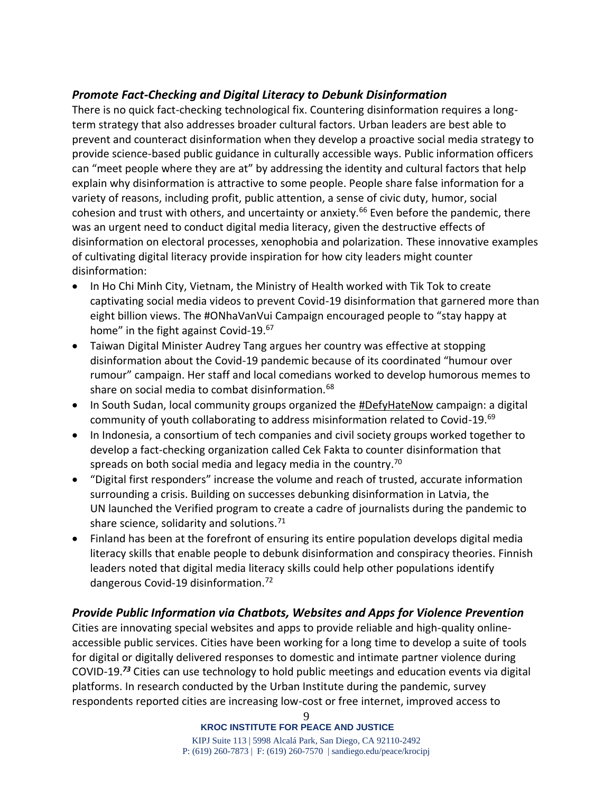# *Promote Fact-Checking and Digital Literacy to Debunk Disinformation*

There is no quick fact-checking technological fix. Countering disinformation requires a longterm strategy that also addresses broader cultural factors. Urban leaders are best able to prevent and counteract disinformation when they develop a proactive social media strategy to provide science-based public guidance in culturally accessible ways. Public information officers can "meet people where they are at" by addressing the identity and cultural factors that help explain why disinformation is attractive to some people. People share false information for a variety of reasons, including profit, public attention, a sense of civic duty, humor, social cohesion and trust with others, and uncertainty or anxiety.<sup>66</sup> Even before the pandemic, there was an urgent need to conduct digital media literacy, given the destructive effects of disinformation on electoral processes, xenophobia and polarization. These innovative examples of cultivating digital literacy provide inspiration for how city leaders might counter disinformation:

- In Ho Chi Minh City, Vietnam, the Ministry of Health worked with Tik Tok to create captivating social media videos to prevent Covid-19 disinformation that garnered more than eight billion views. The #ONhaVanVui Campaign encouraged people to "stay happy at home" in the fight against Covid-19.<sup>67</sup>
- Taiwan Digital Minister Audrey Tang argues her country was effective at stopping disinformation about the Covid-19 pandemic because of its coordinated "humour over rumour" campaign. Her staff and local comedians worked to develop humorous memes to share on social media to combat disinformation.<sup>68</sup>
- In South Sudan, local community groups organized the [#DefyHateNow](https://defyhatenow.org/) campaign: a digital community of youth collaborating to address misinformation related to Covid-19.<sup>69</sup>
- In Indonesia, a consortium of tech companies and civil society groups worked together to develop a fact-checking organization called Cek Fakta to counter disinformation that spreads on both social media and legacy media in the country.<sup>70</sup>
- "Digital first responders" increase the volume and reach of trusted, accurate information surrounding a crisis. Building on successes debunking disinformation in Latvia, the UN launched the [Verified](https://www.shareverified.com/en) program to create a cadre of journalists during the pandemic to share science, solidarity and solutions.<sup>71</sup>
- Finland has been at the forefront of ensuring its entire population develops digital media literacy skills that enable people to debunk disinformation and conspiracy theories. Finnish leaders noted that digital media literacy skills could help other populations identify dangerous Covid-19 disinformation.<sup>72</sup>

# *Provide Public Information via Chatbots, Websites and Apps for Violence Prevention*

Cities are innovating special websites and apps to provide reliable and high-quality onlineaccessible public services. Cities have been working for a long time to develop a suite of tools for digital or digitally delivered responses to domestic and intimate partner violence during COVID-19.*<sup>73</sup>* Cities can use technology to hold public meetings and education events via digital platforms. In research conducted by the Urban Institute during the pandemic, survey respondents reported cities are increasing low-cost or free internet, improved access to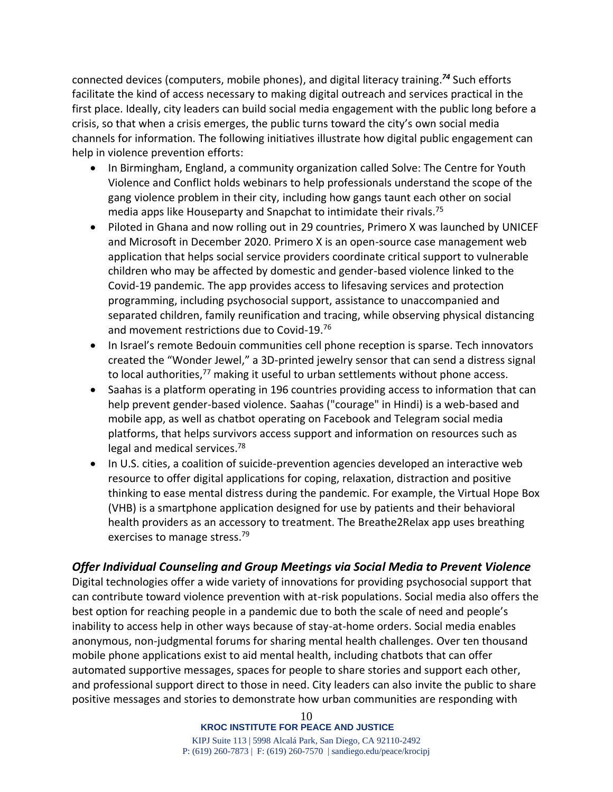connected devices (computers, mobile phones), and digital literacy training.*<sup>74</sup>* Such efforts facilitate the kind of access necessary to making digital outreach and services practical in the first place. Ideally, city leaders can build social media engagement with the public long before a crisis, so that when a crisis emerges, the public turns toward the city's own social media channels for information. The following initiatives illustrate how digital public engagement can help in violence prevention efforts:

- In Birmingham, England, a community organization called Solve: The Centre for Youth Violence and Conflict holds webinars to help professionals understand the scope of the gang violence problem in their city, including how gangs taunt each other on social media apps like Houseparty and Snapchat to intimidate their rivals.<sup>75</sup>
- Piloted in Ghana and now rolling out in 29 countries, Primero X was launched by UNICEF and Microsoft in December 2020. Primero X is an open-source case management web application that helps social service providers coordinate critical support to vulnerable children who may be affected by domestic and gender-based violence linked to the Covid-19 pandemic. The app provides access to lifesaving services and protection programming, including psychosocial support, assistance to unaccompanied and separated children, family reunification and tracing, while observing physical distancing and movement restrictions due to Covid-19.<sup>76</sup>
- In Israel's remote Bedouin communities cell phone reception is sparse. Tech innovators created the "Wonder Jewel," a 3D-printed jewelry sensor that can send a distress signal to local authorities,<sup>77</sup> making it useful to urban settlements without phone access.
- Saahas is a platform operating in 196 countries providing access to information that can help prevent gender-based violence. Saahas ("courage" in Hindi) is a web-based and mobile app, as well as chatbot operating on Facebook and Telegram social media platforms, that helps survivors access support and information on resources such as legal and medical services.<sup>78</sup>
- In U.S. cities, a coalition of suicide-prevention agencies developed an interactive web resource to offer digital applications for coping, relaxation, distraction and positive thinking to ease mental distress during the pandemic. For example, the Virtual Hope Box (VHB) is a smartphone application designed for use by patients and their behavioral health providers as an accessory to treatment. The Breathe2Relax app uses breathing exercises to manage stress.<sup>79</sup>

#### *Offer Individual Counseling and Group Meetings via Social Media to Prevent Violence*

Digital technologies offer a wide variety of innovations for providing psychosocial support that can contribute toward violence prevention with at-risk populations. Social media also offers the best option for reaching people in a pandemic due to both the scale of need and people's inability to access help in other ways because of stay-at-home orders. Social media enables anonymous, non-judgmental forums for sharing mental health challenges. Over ten thousand mobile phone applications exist to aid mental health, including chatbots that can offer automated supportive messages, spaces for people to share stories and support each other, and professional support direct to those in need. City leaders can also invite the public to share positive messages and stories to demonstrate how urban communities are responding with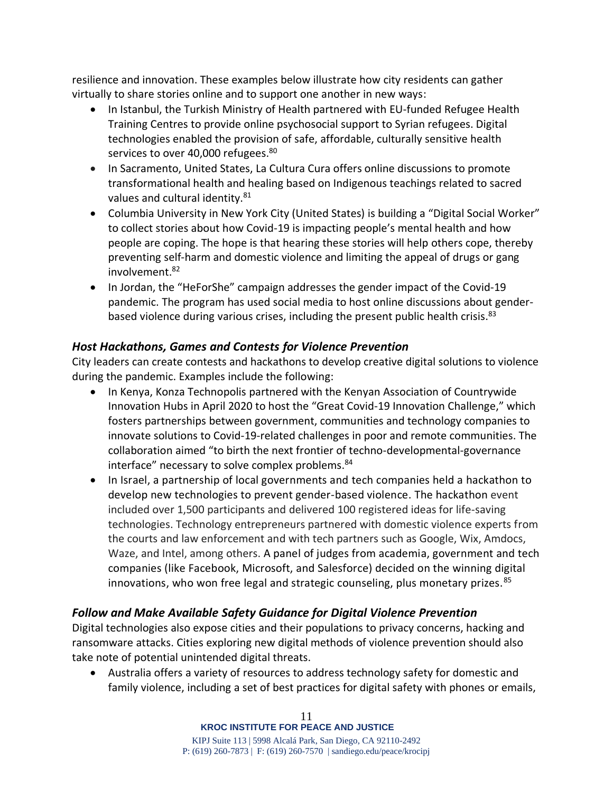resilience and innovation. These examples below illustrate how city residents can gather virtually to share stories online and to support one another in new ways:

- In Istanbul, the Turkish Ministry of Health partnered with EU-funded Refugee Health Training Centres to provide online psychosocial support to Syrian refugees. Digital technologies enabled the provision of safe, affordable, culturally sensitive health services to over 40,000 refugees.<sup>80</sup>
- In Sacramento, United States, La Cultura Cura offers online discussions to promote transformational health and healing based on Indigenous teachings related to sacred values and cultural identity.<sup>81</sup>
- Columbia University in New York City (United States) is building a "Digital Social Worker" to collect stories about how Covid-19 is impacting people's mental health and how people are coping. The hope is that hearing these stories will help others cope, thereby preventing self-harm and domestic violence and limiting the appeal of drugs or gang involvement. 82
- In Jordan, the "HeForShe" campaign addresses the gender impact of the Covid-19 pandemic. The program has used social media to host online discussions about genderbased violence during various crises, including the present public health crisis.<sup>83</sup>

# *Host Hackathons, Games and Contests for Violence Prevention*

City leaders can create contests and hackathons to develop creative digital solutions to violence during the pandemic. Examples include the following:

- In Kenya, Konza Technopolis partnered with the Kenyan Association of Countrywide Innovation Hubs in April 2020 to host the "Great Covid-19 Innovation Challenge," which fosters partnerships between government, communities and technology companies to innovate solutions to Covid-19-related challenges in poor and remote communities. The collaboration aimed "to birth the next frontier of techno-developmental-governance interface" necessary to solve complex problems.<sup>84</sup>
- In Israel, a partnership of local governments and tech companies held a hackathon to develop new technologies to prevent gender-based violence. The hackathon event included over 1,500 participants and delivered 100 registered ideas for life-saving technologies. Technology entrepreneurs partnered with domestic violence experts from the courts and law enforcement and with tech partners such as Google, Wix, Amdocs, Waze, and Intel, among others. A panel of judges from academia, government and tech companies (like Facebook, Microsoft, and Salesforce) decided on the winning digital innovations, who won free legal and strategic counseling, plus monetary prizes.<sup>85</sup>

# *Follow and Make Available Safety Guidance for Digital Violence Prevention*

Digital technologies also expose cities and their populations to privacy concerns, hacking and ransomware attacks. Cities exploring new digital methods of violence prevention should also take note of potential unintended digital threats.

• Australia offers a variety of resources to address technology safety for domestic and family violence, including a set of best practices for digital safety with phones or emails,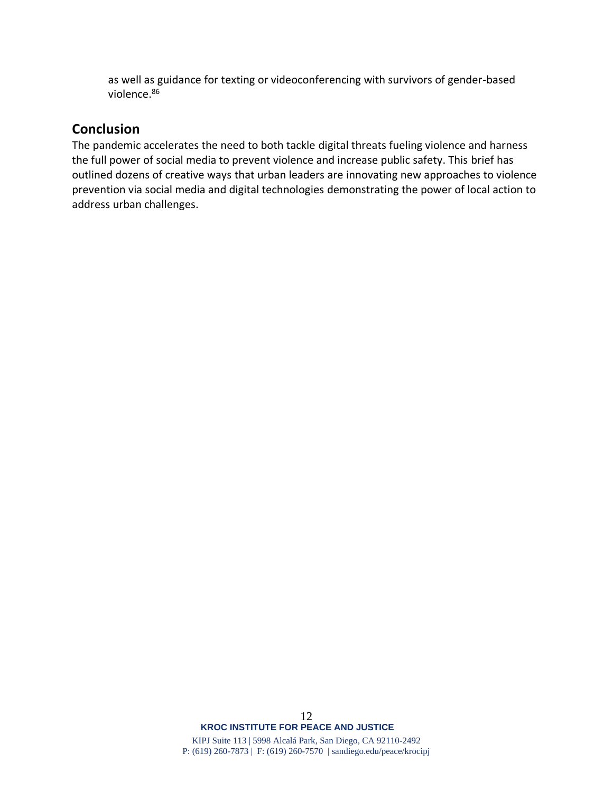as well as guidance for texting or videoconferencing with survivors of gender-based violence.<sup>86</sup>

# **Conclusion**

The pandemic accelerates the need to both tackle digital threats fueling violence and harness the full power of social media to prevent violence and increase public safety. This brief has outlined dozens of creative ways that urban leaders are innovating new approaches to violence prevention via social media and digital technologies demonstrating the power of local action to address urban challenges.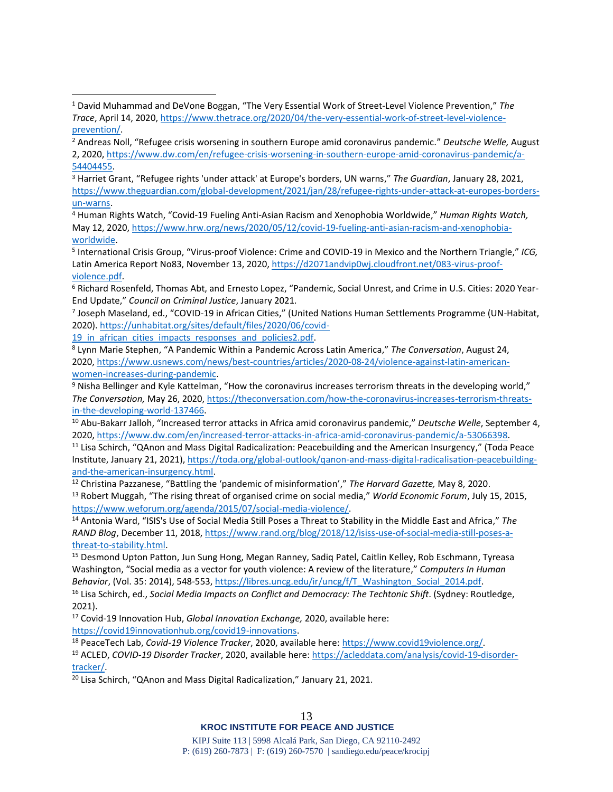<sup>3</sup> Harriet Grant, "Refugee rights 'under attack' at Europe's borders, UN warns," *The Guardian*, January 28, 2021, [https://www.theguardian.com/global-development/2021/jan/28/refugee-rights-under-attack-at-europes-borders](https://www.theguardian.com/global-development/2021/jan/28/refugee-rights-under-attack-at-europes-borders-un-warns)[un-warns.](https://www.theguardian.com/global-development/2021/jan/28/refugee-rights-under-attack-at-europes-borders-un-warns)

<sup>4</sup> Human Rights Watch, "Covid-19 Fueling Anti-Asian Racism and Xenophobia Worldwide," *Human Rights Watch,* May 12, 2020, [https://www.hrw.org/news/2020/05/12/covid-19-fueling-anti-asian-racism-and-xenophobia](https://www.hrw.org/news/2020/05/12/covid-19-fueling-anti-asian-racism-and-xenophobia-worldwide)[worldwide.](https://www.hrw.org/news/2020/05/12/covid-19-fueling-anti-asian-racism-and-xenophobia-worldwide)

5 International Crisis Group, "Virus-proof Violence: Crime and COVID-19 in Mexico and the Northern Triangle," *ICG,* Latin America Report No83, November 13, 2020[, https://d2071andvip0wj.cloudfront.net/083-virus-proof](https://d2071andvip0wj.cloudfront.net/083-virus-proof-violence.pdf)[violence.pdf.](https://d2071andvip0wj.cloudfront.net/083-virus-proof-violence.pdf)

<sup>6</sup> Richard Rosenfeld, Thomas Abt, and Ernesto Lopez, "Pandemic, Social Unrest, and Crime in U.S. Cities: 2020 Year-End Update," *Council on Criminal Justice*, January 2021.

7 Joseph Maseland, ed., "COVID-19 in African Cities," (United Nations Human Settlements Programme (UN-Habitat, 2020). [https://unhabitat.org/sites/default/files/2020/06/covid-](https://unhabitat.org/sites/default/files/2020/06/covid-19_in_african_cities_impacts_responses_and_policies2.pdf)

19 in african cities impacts responses and policies2.pdf.

<sup>8</sup> Lynn Marie Stephen, "A Pandemic Within a Pandemic Across Latin America," *The Conversation*, August 24, 2020, [https://www.usnews.com/news/best-countries/articles/2020-08-24/violence-against-latin-american](https://www.usnews.com/news/best-countries/articles/2020-08-24/violence-against-latin-american-women-increases-during-pandemic)[women-increases-during-pandemic.](https://www.usnews.com/news/best-countries/articles/2020-08-24/violence-against-latin-american-women-increases-during-pandemic)

<sup>9</sup> Nisha Bellinger and Kyle Kattelman, "How the coronavirus increases terrorism threats in the developing world," *The Conversation,* May 26, 2020, [https://theconversation.com/how-the-coronavirus-increases-terrorism-threats](https://theconversation.com/how-the-coronavirus-increases-terrorism-threats-in-the-developing-world-137466)[in-the-developing-world-137466.](https://theconversation.com/how-the-coronavirus-increases-terrorism-threats-in-the-developing-world-137466)

<sup>10</sup> Abu-Bakarr Jalloh, "Increased terror attacks in Africa amid coronavirus pandemic," *Deutsche Welle*, September 4, 2020, [https://www.dw.com/en/increased-terror-attacks-in-africa-amid-coronavirus-pandemic/a-53066398.](https://www.dw.com/en/increased-terror-attacks-in-africa-amid-coronavirus-pandemic/a-53066398)

<sup>11</sup> Lisa Schirch, "QAnon and Mass Digital Radicalization: Peacebuilding and the American Insurgency," (Toda Peace Institute, January 21, 2021)[, https://toda.org/global-outlook/qanon-and-mass-digital-radicalisation-peacebuilding](https://toda.org/global-outlook/qanon-and-mass-digital-radicalisation-peacebuilding-and-the-american-insurgency.html)[and-the-american-insurgency.html.](https://toda.org/global-outlook/qanon-and-mass-digital-radicalisation-peacebuilding-and-the-american-insurgency.html)

<sup>12</sup> Christina Pazzanese, "Battling the 'pandemic of misinformation'," *The Harvard Gazette,* May 8, 2020. <sup>13</sup> Robert Muggah, "The rising threat of organised crime on social media," *World Economic Forum*, July 15, 2015, [https://www.weforum.org/agenda/2015/07/social-media-violence/.](https://www.weforum.org/agenda/2015/07/social-media-violence/)

<sup>14</sup> Antonia Ward, "ISIS's Use of Social Media Still Poses a Threat to Stability in the Middle East and Africa," *The RAND Blog*, December 11, 2018, [https://www.rand.org/blog/2018/12/isiss-use-of-social-media-still-poses-a](https://www.rand.org/blog/2018/12/isiss-use-of-social-media-still-poses-a-threat-to-stability.html)[threat-to-stability.html.](https://www.rand.org/blog/2018/12/isiss-use-of-social-media-still-poses-a-threat-to-stability.html) 

<sup>15</sup> Desmond Upton Patton, Jun Sung Hong, Megan Ranney, Sadiq Patel, Caitlin Kelley, Rob Eschmann, Tyreasa Washington, "Social media as a vector for youth violence: A review of the literature," *Computers In Human Behavior*, (Vol. 35: 2014), 548-553, [https://libres.uncg.edu/ir/uncg/f/T\\_Washington\\_Social\\_2014.pdf.](https://libres.uncg.edu/ir/uncg/f/T_Washington_Social_2014.pdf) <sup>16</sup> Lisa Schirch, ed., *Social Media Impacts on Conflict and Democracy: The Techtonic Shift*. (Sydney: Routledge,

2021).

<sup>17</sup> Covid-19 Innovation Hub, *Global Innovation Exchange,* 2020, available here: [https://covid19innovationhub.org/covid19-innovations.](https://covid19innovationhub.org/covid19-innovations)

<sup>18</sup> PeaceTech Lab, *Covid-19 Violence Tracker*, 2020, available here: [https://www.covid19violence.org/.](https://www.covid19violence.org/) 

<sup>19</sup> ACLED, *COVID-19 Disorder Tracker*, 2020, available here: [https://acleddata.com/analysis/covid-19-disorder](https://acleddata.com/analysis/covid-19-disorder-tracker/)[tracker/.](https://acleddata.com/analysis/covid-19-disorder-tracker/)

<sup>20</sup> Lisa Schirch, "QAnon and Mass Digital Radicalization," January 21, 2021.

<sup>1</sup> [David Muhammad](https://www.thetrace.org/author/david-muhammad) and DeVone Boggan, "The Very Essential Work of Street-Level Violence Prevention," *The Trace*, April 14, 2020[, https://www.thetrace.org/2020/04/the-very-essential-work-of-street-level-violence](https://www.thetrace.org/2020/04/the-very-essential-work-of-street-level-violence-prevention/)[prevention/.](https://www.thetrace.org/2020/04/the-very-essential-work-of-street-level-violence-prevention/) 

<sup>2</sup> Andreas Noll, "Refugee crisis worsening in southern Europe amid coronavirus pandemic." *Deutsche Welle,* August 2, 2020, [https://www.dw.com/en/refugee-crisis-worsening-in-southern-europe-amid-coronavirus-pandemic/a-](https://www.dw.com/en/refugee-crisis-worsening-in-southern-europe-amid-coronavirus-pandemic/a-54404455)[54404455.](https://www.dw.com/en/refugee-crisis-worsening-in-southern-europe-amid-coronavirus-pandemic/a-54404455)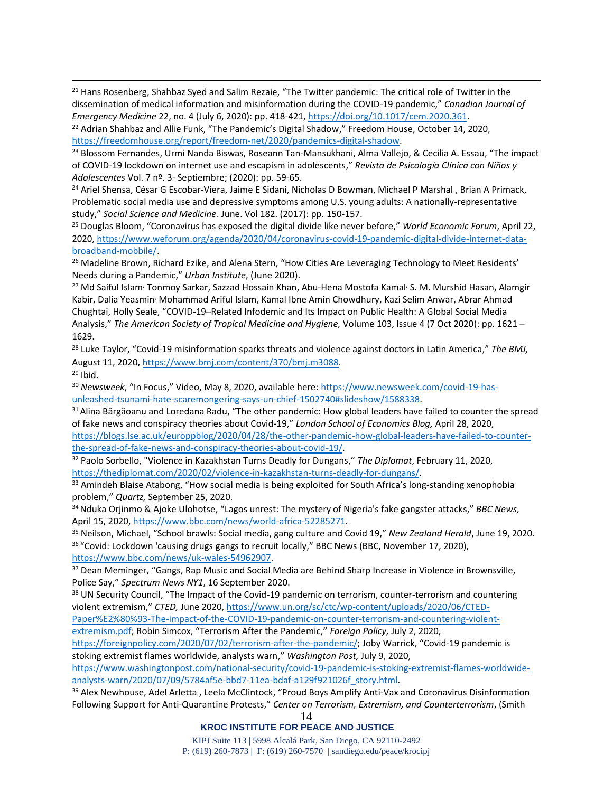<sup>21</sup> [Hans Rosenberg,](https://www.cambridge.org/core/search?filters%5BauthorTerms%5D=Hans%20Rosenberg&eventCode=SE-AU) [Shahbaz Syed](https://www.cambridge.org/core/search?filters%5BauthorTerms%5D=Shahbaz%20Syed&eventCode=SE-AU) and [Salim Rezaie,](https://www.cambridge.org/core/search?filters%5BauthorTerms%5D=Salim%20Rezaie&eventCode=SE-AU) "The Twitter pandemic: The critical role of Twitter in the dissemination of medical information and misinformation during the COVID-19 pandemic," *Canadian Journal of Emergency Medicine* 22, no. 4 (July 6, 2020): pp. 418-421, [https://doi.org/10.1017/cem.2020.361.](https://doi.org/10.1017/cem.2020.361)

<sup>22</sup> Adrian Shahbaz and Allie Funk, "The Pandemic's Digital Shadow," Freedom House, October 14, 2020, [https://freedomhouse.org/report/freedom-net/2020/pandemics-digital-shadow.](https://freedomhouse.org/report/freedom-net/2020/pandemics-digital-shadow)

<sup>23</sup> Blossom Fernandes, Urmi Nanda Biswas, Roseann Tan-Mansukhani, Alma Vallejo, & Cecilia A. Essau, "The impact of COVID-19 lockdown on internet use and escapism in adolescents," *Revista de Psicología Clínica con Niños y Adolescentes* Vol. 7 nº. 3- Septiembre; (2020): pp. 59-65.

<sup>24</sup> Ariel Shensa, César G Escobar-Viera, Jaime E Sidani, Nicholas D Bowman, Michael P Marshal, Brian A Primack, Problematic social media use and depressive symptoms among U.S. young adults: A nationally-representative study," *Social Science and Medicine*. June. Vol 182. (2017): pp. 150-157.

<sup>25</sup> Douglas Bloom, "Coronavirus has exposed the digital divide like never before," *World Economic Forum*, April 22, 2020, [https://www.weforum.org/agenda/2020/04/coronavirus-covid-19-pandemic-digital-divide-internet-data](https://www.weforum.org/agenda/2020/04/coronavirus-covid-19-pandemic-digital-divide-internet-data-broadband-mobbile/)[broadband-mobbile/.](https://www.weforum.org/agenda/2020/04/coronavirus-covid-19-pandemic-digital-divide-internet-data-broadband-mobbile/)

<sup>26</sup> Madeline Brown, Richard Ezike, and Alena Stern, "How Cities Are Leveraging Technology to Meet Residents' Needs during a Pandemic," *Urban Institute*, (June 2020).

<sup>27</sup> Md Saiful Islam<sup>,</sup> Tonmoy Sarkar, Sazzad Hossain Khan, Abu-Hena Mostofa Kamal, S. M. Murshid Hasan, Alamgir Kabir, Dalia Yeasmin, Mohammad Ariful Islam, Kamal Ibne Amin Chowdhury, Kazi Selim Anwar, Abrar Ahmad Chughtai, Holly Seale, "COVID-19–Related Infodemic and Its Impact on Public Health: A Global Social Media Analysis," *The American Society of Tropical Medicine and Hygiene,* Volume 103, Issue 4 (7 Oct 2020): pp. 1621 – 1629.

<sup>28</sup> Luke Taylor, "Covid-19 misinformation sparks threats and violence against doctors in Latin America," *The BMJ,* August 11, 2020, [https://www.bmj.com/content/370/bmj.m3088.](https://www.bmj.com/content/370/bmj.m3088)

<sup>29</sup> Ibid.

<sup>30</sup> *Newsweek*, "In Focus," Video, May 8, 2020, available here: [https://www.newsweek.com/covid-19-has](https://www.newsweek.com/covid-19-has-unleashed-tsunami-hate-scaremongering-says-un-chief-1502740#slideshow/1588338)[unleashed-tsunami-hate-scaremongering-says-un-chief-1502740#slideshow/1588338.](https://www.newsweek.com/covid-19-has-unleashed-tsunami-hate-scaremongering-says-un-chief-1502740#slideshow/1588338) 

<sup>31</sup> Alina Bârgăoanu and Loredana Radu, "The other pandemic: How global leaders have failed to counter the spread of fake news and conspiracy theories about Covid-19," *London School of Economics Blog,* April 28, 2020,

[https://blogs.lse.ac.uk/europpblog/2020/04/28/the-other-pandemic-how-global-leaders-have-failed-to-counter](https://blogs.lse.ac.uk/europpblog/2020/04/28/the-other-pandemic-how-global-leaders-have-failed-to-counter-the-spread-of-fake-news-and-conspiracy-theories-about-covid-19/)[the-spread-of-fake-news-and-conspiracy-theories-about-covid-19/.](https://blogs.lse.ac.uk/europpblog/2020/04/28/the-other-pandemic-how-global-leaders-have-failed-to-counter-the-spread-of-fake-news-and-conspiracy-theories-about-covid-19/) 

<sup>32</sup> Paolo Sorbello, "Violence in Kazakhstan Turns Deadly for Dungans," *The Diplomat*, February 11, 2020, [https://thediplomat.com/2020/02/violence-in-kazakhstan-turns-deadly-for-dungans/.](https://thediplomat.com/2020/02/violence-in-kazakhstan-turns-deadly-for-dungans/)

<sup>33</sup> Amindeh Blaise Atabong, "How social media is being exploited for South Africa's long-standing xenophobia problem," *Quartz,* September 25, 2020.

<sup>34</sup>Nduka Orjinmo & Ajoke Ulohotse, "Lagos unrest: The mystery of Nigeria's fake gangster attacks," *BBC News,* April 15, 2020, [https://www.bbc.com/news/world-africa-52285271.](https://www.bbc.com/news/world-africa-52285271) 

<sup>35</sup> Neilson, Michael, "School brawls: Social media, gang culture and Covid 19," *New Zealand Herald*, June 19, 2020. <sup>36</sup> "Covid: Lockdown 'causing drugs gangs to recruit locally," BBC News (BBC, November 17, 2020), [https://www.bbc.com/news/uk-wales-54962907.](https://www.bbc.com/news/uk-wales-54962907)

<sup>37</sup> Dean Meminger, "Gangs, Rap Music and Social Media are Behind Sharp Increase in Violence in Brownsville, Police Say," *Spectrum News NY1*, 16 September 2020.

<sup>38</sup> UN Security Council, "The Impact of the Covid-19 pandemic on terrorism, counter-terrorism and countering violent extremism," *CTED,* June 2020, [https://www.un.org/sc/ctc/wp-content/uploads/2020/06/CTED-](https://www.un.org/sc/ctc/wp-content/uploads/2020/06/CTED-Paper%E2%80%93-The-impact-of-the-COVID-19-pandemic-on-counter-terrorism-and-countering-violent-extremism.pdf)[Paper%E2%80%93-The-impact-of-the-COVID-19-pandemic-on-counter-terrorism-and-countering-violent-](https://www.un.org/sc/ctc/wp-content/uploads/2020/06/CTED-Paper%E2%80%93-The-impact-of-the-COVID-19-pandemic-on-counter-terrorism-and-countering-violent-extremism.pdf)

[extremism.pdf;](https://www.un.org/sc/ctc/wp-content/uploads/2020/06/CTED-Paper%E2%80%93-The-impact-of-the-COVID-19-pandemic-on-counter-terrorism-and-countering-violent-extremism.pdf) Robin Simcox, "Terrorism After the Pandemic," *Foreign Policy,* July 2, 2020,

[https://foreignpolicy.com/2020/07/02/terrorism-after-the-pandemic/;](https://foreignpolicy.com/2020/07/02/terrorism-after-the-pandemic/) Joby Warrick, "Covid-19 pandemic is stoking extremist flames worldwide, analysts warn," *Washington Post,* July 9, 2020,

[https://www.washingtonpost.com/national-security/covid-19-pandemic-is-stoking-extremist-flames-worldwide](https://www.washingtonpost.com/national-security/covid-19-pandemic-is-stoking-extremist-flames-worldwide-analysts-warn/2020/07/09/5784af5e-bbd7-11ea-bdaf-a129f921026f_story.html)[analysts-warn/2020/07/09/5784af5e-bbd7-11ea-bdaf-a129f921026f\\_story.html.](https://www.washingtonpost.com/national-security/covid-19-pandemic-is-stoking-extremist-flames-worldwide-analysts-warn/2020/07/09/5784af5e-bbd7-11ea-bdaf-a129f921026f_story.html) 

<sup>39</sup> Alex Newhouse, Adel Arletta, Leela McClintock, "Proud Boys Amplify Anti-Vax and Coronavirus Disinformation Following Support for Anti-Quarantine Protests," *Center on Terrorism, Extremism, and Counterterrorism*, (Smith

14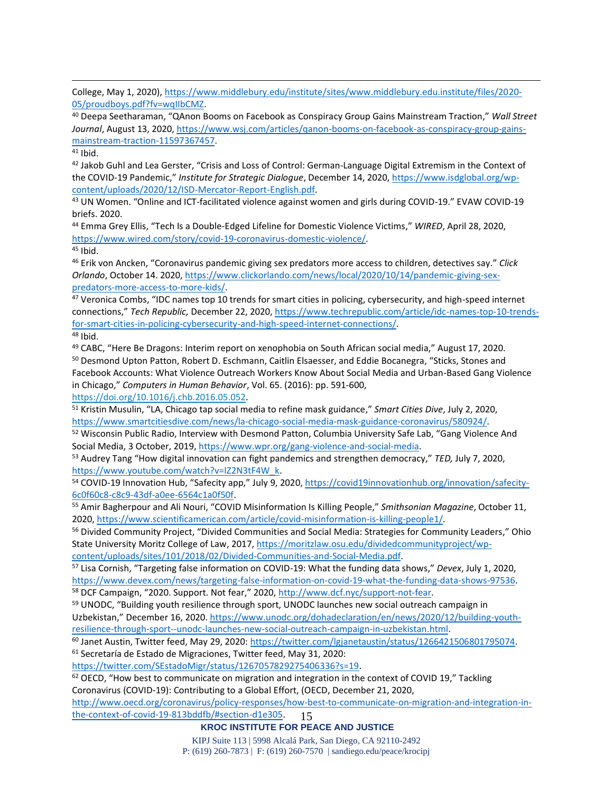College, May 1, 2020)[, https://www.middlebury.edu/institute/sites/www.middlebury.edu.institute/files/2020-](https://www.middlebury.edu/institute/sites/www.middlebury.edu.institute/files/2020-05/proudboys.pdf?fv=wqIIbCMZ) [05/proudboys.pdf?fv=wqIIbCMZ.](https://www.middlebury.edu/institute/sites/www.middlebury.edu.institute/files/2020-05/proudboys.pdf?fv=wqIIbCMZ)

<sup>40</sup> Deepa Seetharaman, "QAnon Booms on Facebook as Conspiracy Group Gains Mainstream Traction," *Wall Street Journal*, August 13, 2020[, https://www.wsj.com/articles/qanon-booms-on-facebook-as-conspiracy-group-gains](https://www.wsj.com/articles/qanon-booms-on-facebook-as-conspiracy-group-gains-mainstream-traction-11597367457)[mainstream-traction-11597367457.](https://www.wsj.com/articles/qanon-booms-on-facebook-as-conspiracy-group-gains-mainstream-traction-11597367457)

 $41$  Ibid.

42 Jakob Guhl and Lea Gerster, "Crisis and Loss of Control: German-Language Digital Extremism in the Context of the COVID-19 Pandemic," *Institute for Strategic Dialogue*, December 14, 2020, [https://www.isdglobal.org/wp](https://www.isdglobal.org/wp-content/uploads/2020/12/ISD-Mercator-Report-English.pdf)[content/uploads/2020/12/ISD-Mercator-Report-English.pdf.](https://www.isdglobal.org/wp-content/uploads/2020/12/ISD-Mercator-Report-English.pdf)

<sup>43</sup> UN Women. "Online and ICT-facilitated violence against women and girls during COVID-19." EVAW COVID-19 briefs. 2020.

<sup>44</sup> [Emma](https://www.wired.com/author/emma-grey-ellis) Grey Ellis, "Tech Is a Double-Edged Lifeline for Domestic Violence Victims," *WIRED*, April 28, 2020, [https://www.wired.com/story/covid-19-coronavirus-domestic-violence/.](https://www.wired.com/story/covid-19-coronavirus-domestic-violence/)   $45$  Ibid.

<sup>46</sup> Erik von Ancken, "Coronavirus pandemic giving sex predators more access to children, detectives say." *Click Orlando*, October 14. 2020, [https://www.clickorlando.com/news/local/2020/10/14/pandemic-giving-sex](https://www.clickorlando.com/news/local/2020/10/14/pandemic-giving-sex-predators-more-access-to-more-kids/)[predators-more-access-to-more-kids/.](https://www.clickorlando.com/news/local/2020/10/14/pandemic-giving-sex-predators-more-access-to-more-kids/)

<sup>47</sup> Veronica Combs, "IDC names top 10 trends for smart cities in policing, cybersecurity, and high-speed internet connections," *Tech Republic,* December 22, 2020, [https://www.techrepublic.com/article/idc-names-top-10-trends](https://www.techrepublic.com/article/idc-names-top-10-trends-for-smart-cities-in-policing-cybersecurity-and-high-speed-internet-connections/)[for-smart-cities-in-policing-cybersecurity-and-high-speed-internet-connections/.](https://www.techrepublic.com/article/idc-names-top-10-trends-for-smart-cities-in-policing-cybersecurity-and-high-speed-internet-connections/)

<sup>48</sup> Ibid.

<sup>49</sup> CABC, "Here Be Dragons: Interim report on xenophobia on South African social media," August 17, 2020. <sup>50</sup> Desmond Upton Patton, Robert D. Eschmann, Caitlin Elsaesser, and Eddie Bocanegra, "Sticks, Stones and Facebook Accounts: What Violence Outreach Workers Know About Social Media and Urban-Based Gang Violence in Chicago," *Computers in Human Behavior*, Vol. 65. (2016): pp. 591-600,

[https://doi.org/10.1016/j.chb.2016.05.052.](https://doi.org/10.1016/j.chb.2016.05.052)

<sup>51</sup> Kristin Musulin, "LA, Chicago tap social media to refine mask guidance," *Smart Cities Dive*, July 2, 2020, [https://www.smartcitiesdive.com/news/la-chicago-social-media-mask-guidance-coronavirus/580924/.](https://www.smartcitiesdive.com/news/la-chicago-social-media-mask-guidance-coronavirus/580924/) 

<sup>52</sup> Wisconsin Public Radio, Interview with Desmond Patton, Columbia University Safe Lab, "Gang Violence And Social Media, 3 October, 2019[, https://www.wpr.org/gang-violence-and-social-media.](https://www.wpr.org/gang-violence-and-social-media)

<sup>53</sup> Audrey Tang "How digital innovation can fight pandemics and strengthen democracy," *TED,* July 7, 2020, [https://www.youtube.com/watch?v=IZ2N3tF4W\\_k.](https://www.youtube.com/watch?v=IZ2N3tF4W_k)

54 COVID-19 Innovation Hub, "Safecity app," July 9, 2020, [https://covid19innovationhub.org/innovation/safecity-](https://covid19innovationhub.org/innovation/safecity-6c0f60c8-c8c9-43df-a0ee-6564c1a0f50f)[6c0f60c8-c8c9-43df-a0ee-6564c1a0f50f.](https://covid19innovationhub.org/innovation/safecity-6c0f60c8-c8c9-43df-a0ee-6564c1a0f50f)

<sup>55</sup> Amir Bagherpour and Ali Nouri, "COVID Misinformation Is Killing People," *Smithsonian Magazine*, October 11, 2020, [https://www.scientificamerican.com/article/covid-misinformation-is-killing-people1/.](https://www.scientificamerican.com/article/covid-misinformation-is-killing-people1/) 

56 Divided Community Project, "Divided Communities and Social Media: Strategies for Community Leaders," Ohio State University Moritz College of Law, 2017, [https://moritzlaw.osu.edu/dividedcommunityproject/wp](https://moritzlaw.osu.edu/dividedcommunityproject/wp-content/uploads/sites/101/2018/02/Divided-Communities-and-Social-Media.pdf)[content/uploads/sites/101/2018/02/Divided-Communities-and-Social-Media.pdf.](https://moritzlaw.osu.edu/dividedcommunityproject/wp-content/uploads/sites/101/2018/02/Divided-Communities-and-Social-Media.pdf)

<sup>57</sup> Lisa Cornish, "Targeting false information on COVID-19: What the funding data shows," *Devex*, July 1, 2020, [https://www.devex.com/news/targeting-false-information-on-covid-19-what-the-funding-data-shows-97536.](https://www.devex.com/news/targeting-false-information-on-covid-19-what-the-funding-data-shows-97536) <sup>58</sup> DCF Campaign, "2020. Support. Not fear," 2020, [http://www.dcf.nyc/support-not-fear.](http://www.dcf.nyc/support-not-fear)

<sup>59</sup> UNODC, "Building youth resilience through sport, UNODC launches new social outreach campaign in Uzbekistan," December 16, 2020. [https://www.unodc.org/dohadeclaration/en/news/2020/12/building-youth](https://www.unodc.org/dohadeclaration/en/news/2020/12/building-youth-resilience-through-sport--unodc-launches-new-social-outreach-campaign-in-uzbekistan.html)[resilience-through-sport--unodc-launches-new-social-outreach-campaign-in-uzbekistan.html.](https://www.unodc.org/dohadeclaration/en/news/2020/12/building-youth-resilience-through-sport--unodc-launches-new-social-outreach-campaign-in-uzbekistan.html)

<sup>60</sup> Janet Austin, Twitter feed, May 29, 2020: [https://twitter.com/lgjanetaustin/status/1266421506801795074.](https://twitter.com/lgjanetaustin/status/1266421506801795074) <sup>61</sup> Secretaría de Estado de Migraciones, Twitter feed, May 31, 2020:

[https://twitter.com/SEstadoMigr/status/1267057829275406336?s=19.](https://twitter.com/SEstadoMigr/status/1267057829275406336?s=19)

 $62$  OECD, "How best to communicate on migration and integration in the context of COVID 19," Tackling Coronavirus (COVID-19): Contributing to a Global Effort, (OECD, December 21, 2020,

15 [http://www.oecd.org/coronavirus/policy-responses/how-best-to-communicate-on-migration-and-integration-in](http://www.oecd.org/coronavirus/policy-responses/how-best-to-communicate-on-migration-and-integration-in-the-context-of-covid-19-813bddfb/#section-d1e305)[the-context-of-covid-19-813bddfb/#section-d1e305.](http://www.oecd.org/coronavirus/policy-responses/how-best-to-communicate-on-migration-and-integration-in-the-context-of-covid-19-813bddfb/#section-d1e305)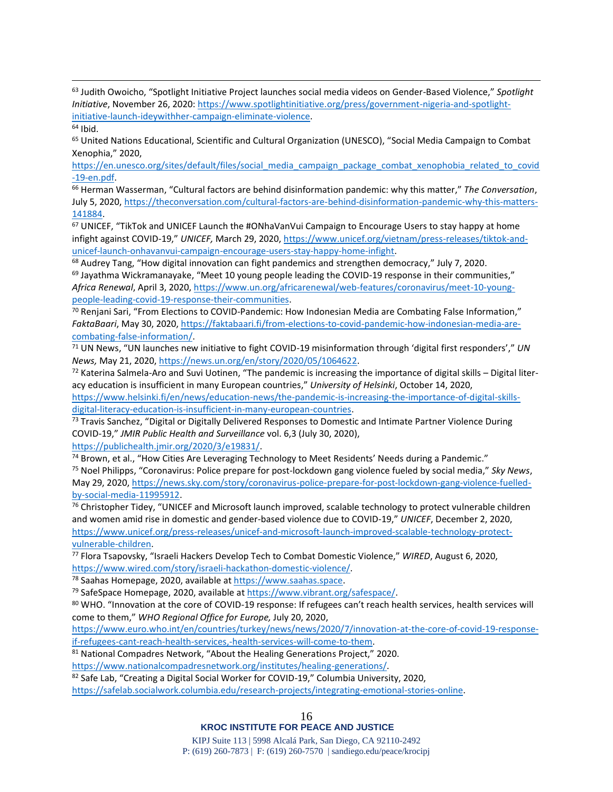<sup>63</sup> Judith Owoicho, "Spotlight Initiative Project launches social media videos on Gender-Based Violence," *Spotlight Initiative*, November 26, 2020[: https://www.spotlightinitiative.org/press/government-nigeria-and-spotlight](https://www.spotlightinitiative.org/press/government-nigeria-and-spotlight-initiative-launch-ideywithher-campaign-eliminate-violence)[initiative-launch-ideywithher-campaign-eliminate-violence.](https://www.spotlightinitiative.org/press/government-nigeria-and-spotlight-initiative-launch-ideywithher-campaign-eliminate-violence)

<sup>65</sup> United Nations Educational, Scientific and Cultural Organization (UNESCO), "Social Media Campaign to Combat Xenophia," 2020,

[https://en.unesco.org/sites/default/files/social\\_media\\_campaign\\_package\\_combat\\_xenophobia\\_related\\_to\\_covid](https://en.unesco.org/sites/default/files/social_media_campaign_package_combat_xenophobia_related_to_covid-19-en.pdf) [-19-en.pdf.](https://en.unesco.org/sites/default/files/social_media_campaign_package_combat_xenophobia_related_to_covid-19-en.pdf)

<sup>66</sup> Herman Wasserman, "Cultural factors are behind disinformation pandemic: why this matter," *The Conversation*, July 5, 2020, [https://theconversation.com/cultural-factors-are-behind-disinformation-pandemic-why-this-matters-](https://theconversation.com/cultural-factors-are-behind-disinformation-pandemic-why-this-matters-141884)[141884.](https://theconversation.com/cultural-factors-are-behind-disinformation-pandemic-why-this-matters-141884)

<sup>67</sup> UNICEF, "TikTok and UNICEF Launch the #ONhaVanVui Campaign to Encourage Users to stay happy at home infight against COVID-19," *UNICEF,* March 29, 2020[, https://www.unicef.org/vietnam/press-releases/tiktok-and](https://www.unicef.org/vietnam/press-releases/tiktok-and-unicef-launch-onhavanvui-campaign-encourage-users-stay-happy-home-infight)[unicef-launch-onhavanvui-campaign-encourage-users-stay-happy-home-infight.](https://www.unicef.org/vietnam/press-releases/tiktok-and-unicef-launch-onhavanvui-campaign-encourage-users-stay-happy-home-infight)

<sup>68</sup> Audrey Tang, "How digital innovation can fight pandemics and strengthen democracy," July 7, 2020.  $69$  Jayathma Wickramanayake, "Meet 10 young people leading the COVID-19 response in their communities," *Africa Renewal*, April 3, 2020, [https://www.un.org/africarenewal/web-features/coronavirus/meet-10-young](https://www.un.org/africarenewal/web-features/coronavirus/meet-10-young-people-leading-covid-19-response-their-communities)[people-leading-covid-19-response-their-communities.](https://www.un.org/africarenewal/web-features/coronavirus/meet-10-young-people-leading-covid-19-response-their-communities)

 $70$  Renjani Sari, "From Elections to COVID-Pandemic: How Indonesian Media are Combating False Information," *FaktaBaari*, May 30, 2020, [https://faktabaari.fi/from-elections-to-covid-pandemic-how-indonesian-media-are](https://faktabaari.fi/from-elections-to-covid-pandemic-how-indonesian-media-are-combating-false-information/)[combating-false-information/.](https://faktabaari.fi/from-elections-to-covid-pandemic-how-indonesian-media-are-combating-false-information/) 

<sup>71</sup> UN News, "UN launches new initiative to fight COVID-19 misinformation through 'digital first responders'," *UN News,* May 21, 2020, [https://news.un.org/en/story/2020/05/1064622.](https://news.un.org/en/story/2020/05/1064622)

 $72$  Katerina Salmela-Aro and Suvi Uotinen, "The pandemic is increasing the importance of digital skills – Digital literacy education is insufficient in many European countries," *University of Helsinki*, October 14, 2020,

[https://www.helsinki.fi/en/news/education-news/the-pandemic-is-increasing-the-importance-of-digital-skills](https://www.helsinki.fi/en/news/education-news/the-pandemic-is-increasing-the-importance-of-digital-skills-digital-literacy-education-is-insufficient-in-many-european-countries)[digital-literacy-education-is-insufficient-in-many-european-countries.](https://www.helsinki.fi/en/news/education-news/the-pandemic-is-increasing-the-importance-of-digital-skills-digital-literacy-education-is-insufficient-in-many-european-countries)

<sup>73</sup> Travis Sanchez, "Digital or Digitally Delivered Responses to Domestic and Intimate Partner Violence During COVID-19," *JMIR Public Health and Surveillance* vol. 6,3 (July 30, 2020),

[https://publichealth.jmir.org/2020/3/e19831/.](https://publichealth.jmir.org/2020/3/e19831/)

74 Brown, et al., "How Cities Are Leveraging Technology to Meet Residents' Needs during a Pandemic." <sup>75</sup> Noel Philipps, "Coronavirus: Police prepare for post-lockdown gang violence fueled by social media," *Sky News*, May 29, 2020, [https://news.sky.com/story/coronavirus-police-prepare-for-post-lockdown-gang-violence-fuelled](https://news.sky.com/story/coronavirus-police-prepare-for-post-lockdown-gang-violence-fuelled-by-social-media-11995912)[by-social-media-11995912.](https://news.sky.com/story/coronavirus-police-prepare-for-post-lockdown-gang-violence-fuelled-by-social-media-11995912)

<sup>76</sup> Christopher Tidey, "UNICEF and Microsoft launch improved, scalable technology to protect vulnerable children and women amid rise in domestic and gender-based violence due to COVID-19," *UNICEF*, December 2, 2020, [https://www.unicef.org/press-releases/unicef-and-microsoft-launch-improved-scalable-technology-protect](https://www.unicef.org/press-releases/unicef-and-microsoft-launch-improved-scalable-technology-protect-vulnerable-children)[vulnerable-children.](https://www.unicef.org/press-releases/unicef-and-microsoft-launch-improved-scalable-technology-protect-vulnerable-children)

<sup>77</sup> Flora Tsapovsky, "Israeli Hackers Develop Tech to Combat Domestic Violence," *WIRED*, August 6, 2020, [https://www.wired.com/story/israeli-hackathon-domestic-violence/.](https://www.wired.com/story/israeli-hackathon-domestic-violence/)

<sup>78</sup> Saahas Homepage, 2020, available at [https://www.saahas.space.](https://www.saahas.space/)

<sup>79</sup> SafeSpace Homepage, 2020, available at [https://www.vibrant.org/safespace/.](https://www.vibrant.org/safespace/)

80 WHO. "Innovation at the core of COVID-19 response: If refugees can't reach health services, health services will come to them," *WHO Regional Office for Europe,* July 20, 2020,

[https://www.euro.who.int/en/countries/turkey/news/news/2020/7/innovation-at-the-core-of-covid-19-response](https://www.euro.who.int/en/countries/turkey/news/news/2020/7/innovation-at-the-core-of-covid-19-response-if-refugees-cant-reach-health-services,-health-services-will-come-to-them)[if-refugees-cant-reach-health-services,-health-services-will-come-to-them.](https://www.euro.who.int/en/countries/turkey/news/news/2020/7/innovation-at-the-core-of-covid-19-response-if-refugees-cant-reach-health-services,-health-services-will-come-to-them) 

81 National Compadres Network, "About the Healing Generations Project," 2020.

[https://www.nationalcompadresnetwork.org/institutes/healing-generations/.](https://www.nationalcompadresnetwork.org/institutes/healing-generations/) 

82 Safe Lab, "Creating a Digital Social Worker for COVID-19," Columbia University, 2020,

[https://safelab.socialwork.columbia.edu/research-projects/integrating-emotional-stories-online.](https://safelab.socialwork.columbia.edu/research-projects/integrating-emotional-stories-online)

 $64$  Ibid.